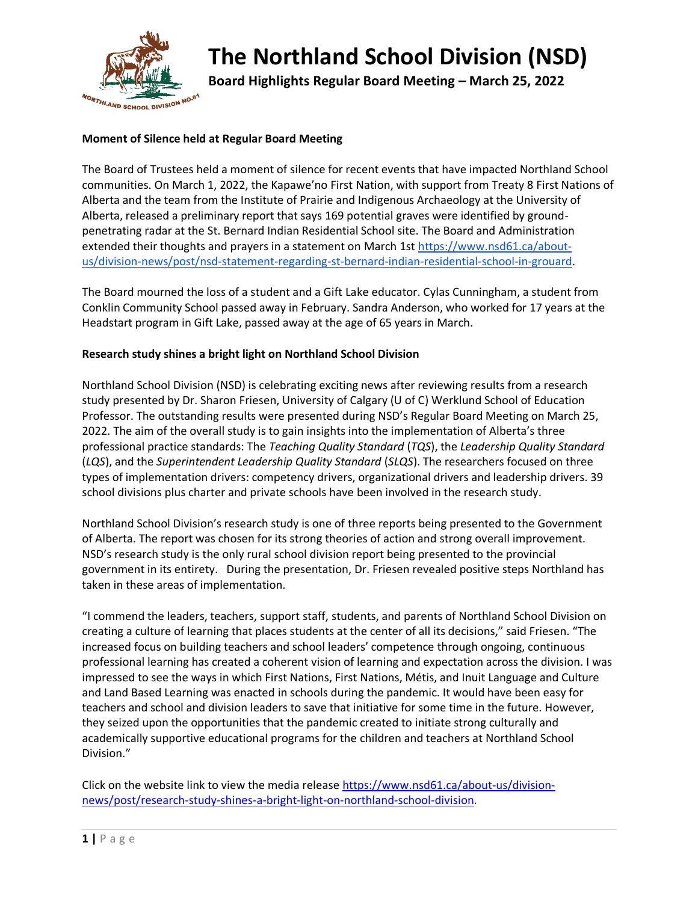

# **The Northland School Division (NSD)**

**Board Highlights Regular Board Meeting – March 25, 2022**

### **Moment of Silence held at Regular Board Meeting**

The Board of Trustees held a moment of silence for recent events that have impacted Northland School communities. On March 1, 2022, the Kapawe'no First Nation, with support from Treaty 8 First Nations of Alberta and the team from the Institute of Prairie and Indigenous Archaeology at the University of Alberta, released a preliminary report that says 169 potential graves were identified by groundpenetrating radar at the St. Bernard Indian Residential School site. The Board and Administration extended their thoughts and prayers in a statement on March 1st [https://www.nsd61.ca/about](https://www.nsd61.ca/about-us/division-news/post/nsd-statement-regarding-st-bernard-indian-residential-school-in-grouard)[us/division-news/post/nsd-statement-regarding-st-bernard-indian-residential-school-in-grouard.](https://www.nsd61.ca/about-us/division-news/post/nsd-statement-regarding-st-bernard-indian-residential-school-in-grouard)

The Board mourned the loss of a student and a Gift Lake educator. Cylas Cunningham, a student from Conklin Community School passed away in February. Sandra Anderson, who worked for 17 years at the Headstart program in Gift Lake, passed away at the age of 65 years in March.

#### **Research study shines a bright light on Northland School Division**

Northland School Division (NSD) is celebrating exciting news after reviewing results from a research study presented by Dr. Sharon Friesen, University of Calgary (U of C) Werklund School of Education Professor. The outstanding results were presented during NSD's Regular Board Meeting on March 25, 2022. The aim of the overall study is to gain insights into the implementation of Alberta's three professional practice standards: The *Teaching Quality Standard* (*TQS*), the *Leadership Quality Standard*  (*LQS*), and the *Superintendent Leadership Quality Standard* (*SLQS*). The researchers focused on three types of implementation drivers: competency drivers, organizational drivers and leadership drivers. 39 school divisions plus charter and private schools have been involved in the research study.

Northland School Division's research study is one of three reports being presented to the Government of Alberta. The report was chosen for its strong theories of action and strong overall improvement. NSD's research study is the only rural school division report being presented to the provincial government in its entirety. During the presentation, Dr. Friesen revealed positive steps Northland has taken in these areas of implementation.

"I commend the leaders, teachers, support staff, students, and parents of Northland School Division on creating a culture of learning that places students at the center of all its decisions," said Friesen. "The increased focus on building teachers and school leaders' competence through ongoing, continuous professional learning has created a coherent vision of learning and expectation across the division. I was impressed to see the ways in which First Nations, First Nations, Métis, and Inuit Language and Culture and Land Based Learning was enacted in schools during the pandemic. It would have been easy for teachers and school and division leaders to save that initiative for some time in the future. However, they seized upon the opportunities that the pandemic created to initiate strong culturally and academically supportive educational programs for the children and teachers at Northland School Division."

Click on the website link to view the media release [https://www.nsd61.ca/about-us/division](https://www.nsd61.ca/about-us/division-news/post/research-study-shines-a-bright-light-on-northland-school-division)[news/post/research-study-shines-a-bright-light-on-northland-school-division.](https://www.nsd61.ca/about-us/division-news/post/research-study-shines-a-bright-light-on-northland-school-division)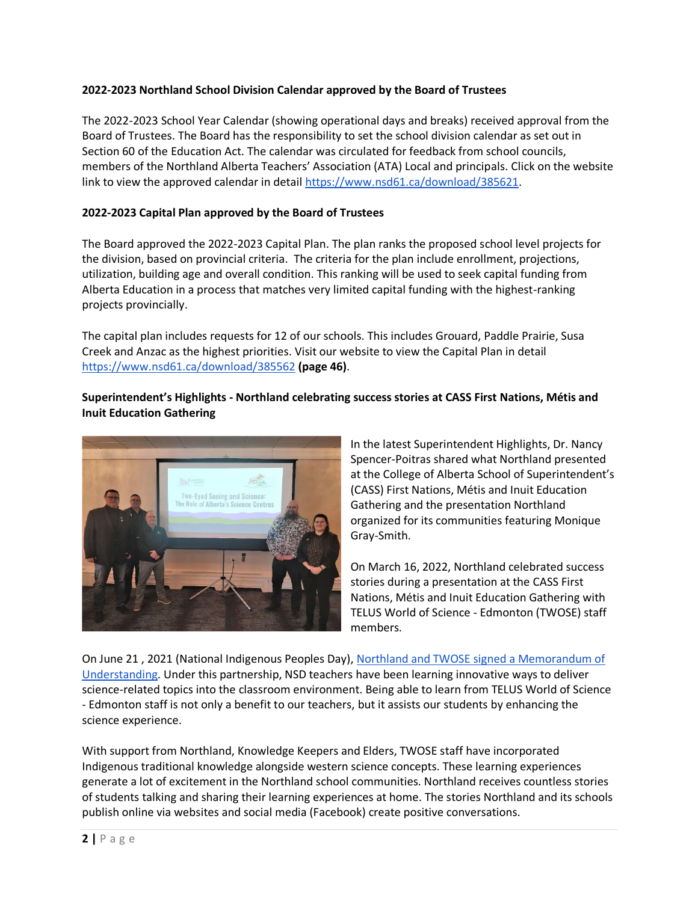### **2022-2023 Northland School Division Calendar approved by the Board of Trustees**

The 2022-2023 School Year Calendar (showing operational days and breaks) received approval from the Board of Trustees. The Board has the responsibility to set the school division calendar as set out in Section 60 of the Education Act. The calendar was circulated for feedback from school councils, members of the Northland Alberta Teachers' Association (ATA) Local and principals. Click on the website link to view the approved calendar in detail [https://www.nsd61.ca/download/385621.](https://www.nsd61.ca/download/385621)

### **2022-2023 Capital Plan approved by the Board of Trustees**

The Board approved the 2022-2023 Capital Plan. The plan ranks the proposed school level projects for the division, based on provincial criteria. The criteria for the plan include enrollment, projections, utilization, building age and overall condition. This ranking will be used to seek capital funding from Alberta Education in a process that matches very limited capital funding with the highest-ranking projects provincially.

The capital plan includes requests for 12 of our schools. This includes Grouard, Paddle Prairie, Susa Creek and Anzac as the highest priorities. Visit our website to view the Capital Plan in detail <https://www.nsd61.ca/download/385562> **(page 46)**.

### **Superintendent's Highlights - Northland celebrating success stories at CASS First Nations, Métis and Inuit Education Gathering**



In the latest Superintendent Highlights, Dr. Nancy Spencer-Poitras shared what Northland presented at the College of Alberta School of Superintendent's (CASS) First Nations, Métis and Inuit Education Gathering and the presentation Northland organized for its communities featuring Monique Gray-Smith.

On March 16, 2022, Northland celebrated success stories during a presentation at the CASS First Nations, Métis and Inuit Education Gathering with TELUS World of Science - Edmonton (TWOSE) staff members.

On June 21 , 2021 (National Indigenous Peoples Day), [Northland and TWOSE signed a Memorandum of](https://www.nsd61.ca/about-us/division-news/post/nsd-and-telus-world-of-science-edmonton-formally-sign-a-memorandum-of-understanding-to-support-success-for-student-and-staff)  [Understanding.](https://www.nsd61.ca/about-us/division-news/post/nsd-and-telus-world-of-science-edmonton-formally-sign-a-memorandum-of-understanding-to-support-success-for-student-and-staff) Under this partnership, NSD teachers have been learning innovative ways to deliver science-related topics into the classroom environment. Being able to learn from TELUS World of Science - Edmonton staff is not only a benefit to our teachers, but it assists our students by enhancing the science experience.

With support from Northland, Knowledge Keepers and Elders, TWOSE staff have incorporated Indigenous traditional knowledge alongside western science concepts. These learning experiences generate a lot of excitement in the Northland school communities. Northland receives countless stories of students talking and sharing their learning experiences at home. The stories Northland and its schools publish online via websites and social media (Facebook) create positive conversations.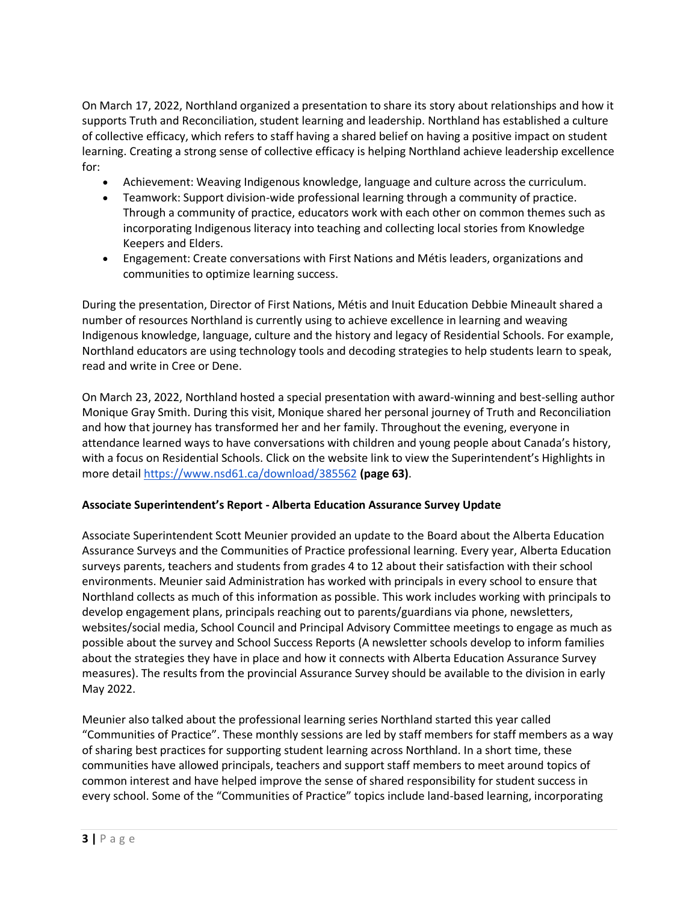On March 17, 2022, Northland organized a presentation to share its story about relationships and how it supports Truth and Reconciliation, student learning and leadership. Northland has established a culture of collective efficacy, which refers to staff having a shared belief on having a positive impact on student learning. Creating a strong sense of collective efficacy is helping Northland achieve leadership excellence for:

- Achievement: Weaving Indigenous knowledge, language and culture across the curriculum.
- Teamwork: Support division-wide professional learning through a community of practice. Through a community of practice, educators work with each other on common themes such as incorporating Indigenous literacy into teaching and collecting local stories from Knowledge Keepers and Elders.
- Engagement: Create conversations with First Nations and Métis leaders, organizations and communities to optimize learning success.

During the presentation, Director of First Nations, Métis and Inuit Education Debbie Mineault shared a number of resources Northland is currently using to achieve excellence in learning and weaving Indigenous knowledge, language, culture and the history and legacy of Residential Schools. For example, Northland educators are using technology tools and decoding strategies to help students learn to speak, read and write in Cree or Dene.

On March 23, 2022, Northland hosted a special presentation with award-winning and best-selling author Monique Gray Smith. During this visit, Monique shared her personal journey of Truth and Reconciliation and how that journey has transformed her and her family. Throughout the evening, everyone in attendance learned ways to have conversations with children and young people about Canada's history, with a focus on Residential Schools. Click on the website link to view the Superintendent's Highlights in more detail<https://www.nsd61.ca/download/385562> **(page 63)**.

## **Associate Superintendent's Report - Alberta Education Assurance Survey Update**

Associate Superintendent Scott Meunier provided an update to the Board about the Alberta Education Assurance Surveys and the Communities of Practice professional learning. Every year, Alberta Education surveys parents, teachers and students from grades 4 to 12 about their satisfaction with their school environments. Meunier said Administration has worked with principals in every school to ensure that Northland collects as much of this information as possible. This work includes working with principals to develop engagement plans, principals reaching out to parents/guardians via phone, newsletters, websites/social media, School Council and Principal Advisory Committee meetings to engage as much as possible about the survey and School Success Reports (A newsletter schools develop to inform families about the strategies they have in place and how it connects with Alberta Education Assurance Survey measures). The results from the provincial Assurance Survey should be available to the division in early May 2022.

Meunier also talked about the professional learning series Northland started this year called "Communities of Practice". These monthly sessions are led by staff members for staff members as a way of sharing best practices for supporting student learning across Northland. In a short time, these communities have allowed principals, teachers and support staff members to meet around topics of common interest and have helped improve the sense of shared responsibility for student success in every school. Some of the "Communities of Practice" topics include land-based learning, incorporating